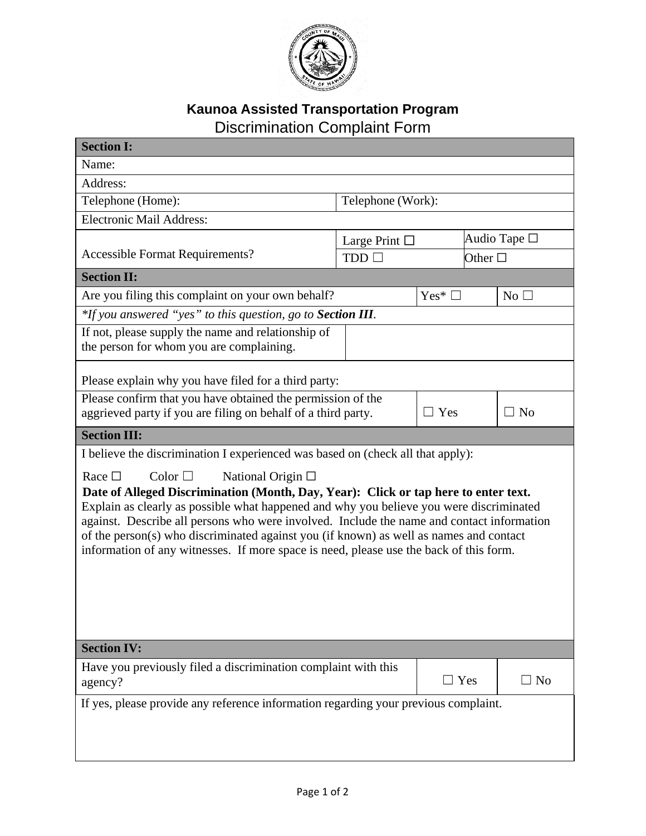

## **Kaunoa Assisted Transportation Program**  Discrimination Complaint Form

| <b>Section I:</b>                                                                                                                                                                                                                                                                                                                                                                                                                                                                                                        |                    |            |                 |           |  |  |
|--------------------------------------------------------------------------------------------------------------------------------------------------------------------------------------------------------------------------------------------------------------------------------------------------------------------------------------------------------------------------------------------------------------------------------------------------------------------------------------------------------------------------|--------------------|------------|-----------------|-----------|--|--|
| Name:                                                                                                                                                                                                                                                                                                                                                                                                                                                                                                                    |                    |            |                 |           |  |  |
| Address:                                                                                                                                                                                                                                                                                                                                                                                                                                                                                                                 |                    |            |                 |           |  |  |
| Telephone (Home):                                                                                                                                                                                                                                                                                                                                                                                                                                                                                                        | Telephone (Work):  |            |                 |           |  |  |
| <b>Electronic Mail Address:</b>                                                                                                                                                                                                                                                                                                                                                                                                                                                                                          |                    |            |                 |           |  |  |
|                                                                                                                                                                                                                                                                                                                                                                                                                                                                                                                          | Large Print $\Box$ |            | Audio Tape □    |           |  |  |
| <b>Accessible Format Requirements?</b>                                                                                                                                                                                                                                                                                                                                                                                                                                                                                   | TDD                |            | Other $\square$ |           |  |  |
| <b>Section II:</b>                                                                                                                                                                                                                                                                                                                                                                                                                                                                                                       |                    |            |                 |           |  |  |
| Are you filing this complaint on your own behalf?                                                                                                                                                                                                                                                                                                                                                                                                                                                                        | $Yes^*$ $\square$  |            | No $\square$    |           |  |  |
| *If you answered "yes" to this question, go to Section III.                                                                                                                                                                                                                                                                                                                                                                                                                                                              |                    |            |                 |           |  |  |
| If not, please supply the name and relationship of<br>the person for whom you are complaining.                                                                                                                                                                                                                                                                                                                                                                                                                           |                    |            |                 |           |  |  |
| Please explain why you have filed for a third party:                                                                                                                                                                                                                                                                                                                                                                                                                                                                     |                    |            |                 |           |  |  |
| Please confirm that you have obtained the permission of the<br>aggrieved party if you are filing on behalf of a third party.                                                                                                                                                                                                                                                                                                                                                                                             | $\Box$ Yes         |            | $\Box$ No       |           |  |  |
| <b>Section III:</b>                                                                                                                                                                                                                                                                                                                                                                                                                                                                                                      |                    |            |                 |           |  |  |
| I believe the discrimination I experienced was based on (check all that apply):                                                                                                                                                                                                                                                                                                                                                                                                                                          |                    |            |                 |           |  |  |
| Color $\Box$<br>National Origin $\Box$<br>Race $\Box$<br>Date of Alleged Discrimination (Month, Day, Year): Click or tap here to enter text.<br>Explain as clearly as possible what happened and why you believe you were discriminated<br>against. Describe all persons who were involved. Include the name and contact information<br>of the person(s) who discriminated against you (if known) as well as names and contact<br>information of any witnesses. If more space is need, please use the back of this form. |                    |            |                 |           |  |  |
| <b>Section IV:</b>                                                                                                                                                                                                                                                                                                                                                                                                                                                                                                       |                    |            |                 |           |  |  |
| Have you previously filed a discrimination complaint with this<br>agency?                                                                                                                                                                                                                                                                                                                                                                                                                                                |                    | $\Box$ Yes |                 | $\Box$ No |  |  |
| If yes, please provide any reference information regarding your previous complaint.                                                                                                                                                                                                                                                                                                                                                                                                                                      |                    |            |                 |           |  |  |